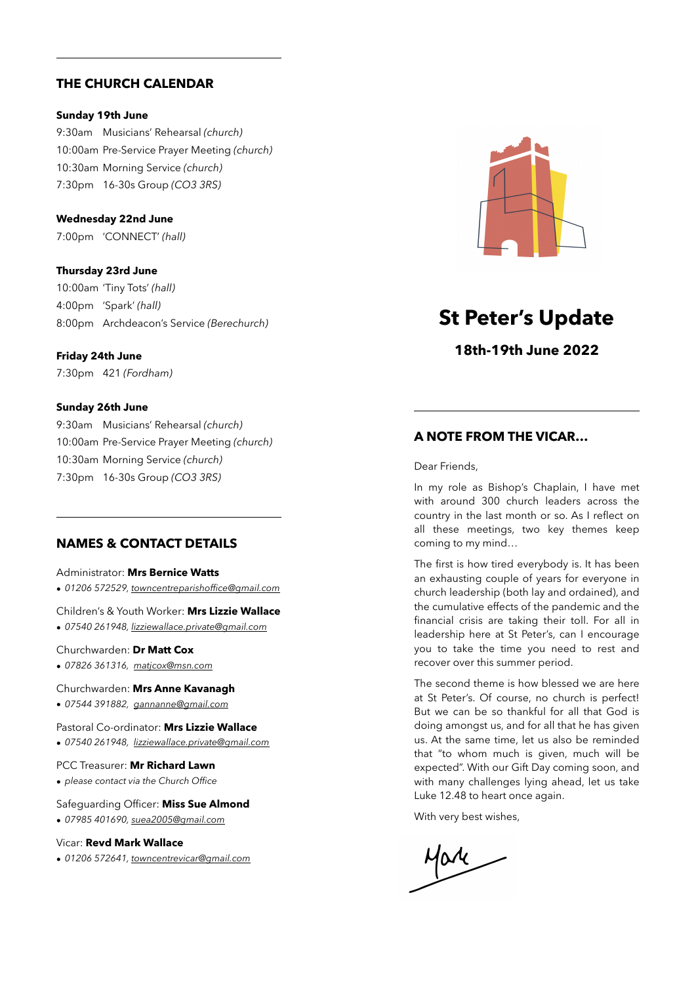# **THE CHURCH CALENDAR**

## **Sunday 19th June**

9:30am Musicians' Rehearsal *(church)* 10:00am Pre-Service Prayer Meeting *(church)* 10:30am Morning Service *(church)* 7:30pm 16-30s Group *(CO3 3RS)*

**Wednesday 22nd June**

7:00pm 'CONNECT' *(hall)*

**Thursday 23rd June** 10:00am 'Tiny Tots' *(hall)* 4:00pm 'Spark' *(hall)* 8:00pm Archdeacon's Service *(Berechurch)*

#### **Friday 24th June**

7:30pm 421 *(Fordham)*

## **Sunday 26th June**

9:30am Musicians' Rehearsal *(church)* 10:00am Pre-Service Prayer Meeting *(church)* 10:30am Morning Service *(church)* 7:30pm 16-30s Group *(CO3 3RS)*

# **NAMES & CONTACT DETAILS**

Administrator: **Mrs Bernice Watts**

*• 01206 572529, [towncentreparishoffice@gmail.com](mailto:towncentreparishoffice@gmail.com)*

Children's & Youth Worker: **Mrs Lizzie Wallace**

*• 07540 261948, [lizziewallace.private@gmail.com](mailto:lizziewallace.private@gmail.com)*

## Churchwarden: **Dr Matt Cox**

*• 07826 361316, [matjcox@msn.com](mailto:matjcox@msn.com)*

Churchwarden: **Mrs Anne Kavanagh**

*• 07544 391882, [gannanne@gmail.com](mailto:gannanne@gmail.com)*

Pastoral Co-ordinator: **Mrs Lizzie Wallace**

*• 07540 261948, [lizziewallace.private@gmail.com](mailto:lizziewallace.private@gmail.com)*

#### PCC Treasurer: **Mr Richard Lawn**

*• please contact via the Church Office*

Safeguarding Officer: **Miss Sue Almond**

*• 07985 401690, [suea2005@gmail.com](mailto:suea2005@gmail.com)*

#### Vicar: **Revd Mark Wallace**

*• 01206 572641, [towncentrevicar@gmail.com](mailto:towncentrevicar@gmail.com)*



# **St Peter's Update**

**18th-19th June 2022**

# **A NOTE FROM THE VICAR…**

Dear Friends,

In my role as Bishop's Chaplain, I have met with around 300 church leaders across the country in the last month or so. As I reflect on all these meetings, two key themes keep coming to my mind…

The first is how tired everybody is. It has been an exhausting couple of years for everyone in church leadership (both lay and ordained), and the cumulative effects of the pandemic and the financial crisis are taking their toll. For all in leadership here at St Peter's, can I encourage you to take the time you need to rest and recover over this summer period.

The second theme is how blessed we are here at St Peter's. Of course, no church is perfect! But we can be so thankful for all that God is doing amongst us, and for all that he has given us. At the same time, let us also be reminded that "to whom much is given, much will be expected". With our Gift Day coming soon, and with many challenges lying ahead, let us take Luke 12.48 to heart once again.

With very best wishes,